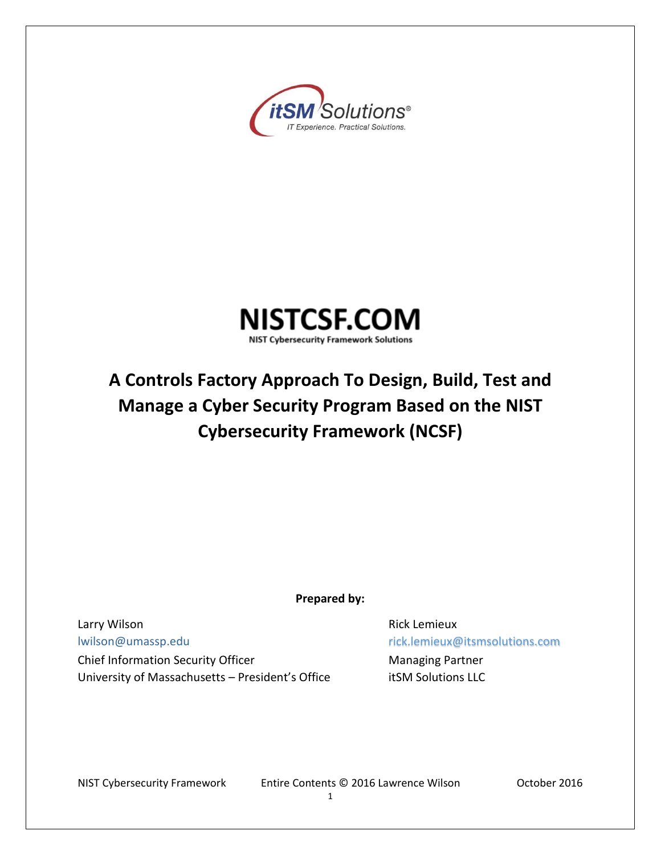



# **A Controls Factory Approach To Design, Build, Test and Manage a Cyber Security Program Based on the NIST Cybersecurity Framework (NCSF)**

**Prepared by:** 

Larry Wilson **Rick Lemieux Rick Lemieux** [lwilson@umassp.edu](mailto:lwilson@umassp.edu) rick.lemieux@itsmsolutions.com Chief Information Security Officer **Managing Partner** Managing Partner University of Massachusetts - President's Office itSM Solutions LLC

NIST Cybersecurity Framework Entire Contents © 2016 Lawrence Wilson October 2016

1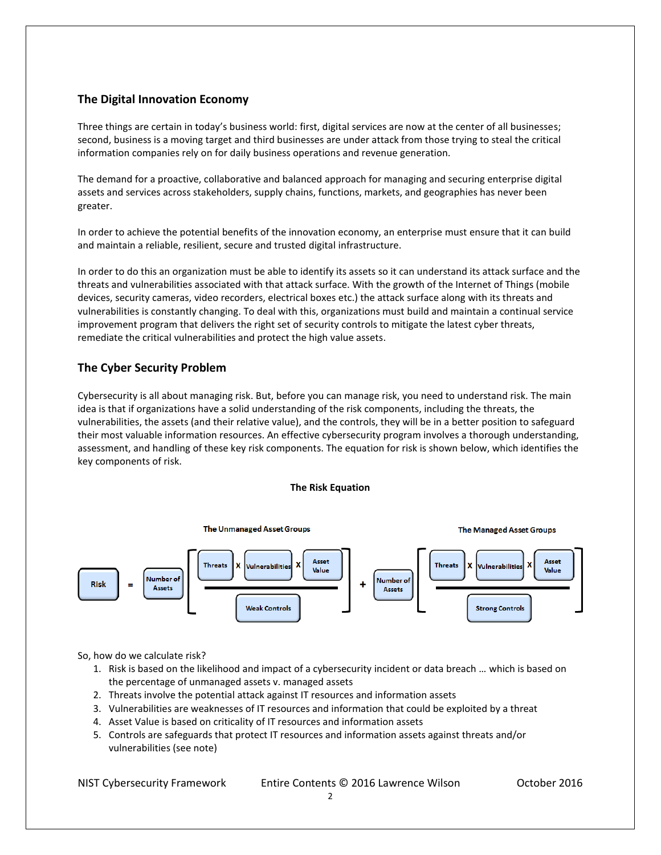## **The Digital Innovation Economy**

Three things are certain in today's business world: first, digital services are now at the center of all businesses; second, business is a moving target and third businesses are under attack from those trying to steal the critical information companies rely on for daily business operations and revenue generation.

The demand for a proactive, collaborative and balanced approach for managing and securing enterprise digital assets and services across stakeholders, supply chains, functions, markets, and geographies has never been greater.

In order to achieve the potential benefits of the innovation economy, an enterprise must ensure that it can build and maintain a reliable, resilient, secure and trusted digital infrastructure.

In order to do this an organization must be able to identify its assets so it can understand its attack surface and the threats and vulnerabilities associated with that attack surface. With the growth of the Internet of Things (mobile devices, security cameras, video recorders, electrical boxes etc.) the attack surface along with its threats and vulnerabilities is constantly changing. To deal with this, organizations must build and maintain a continual service improvement program that delivers the right set of security controls to mitigate the latest cyber threats, remediate the critical vulnerabilities and protect the high value assets.

## **The Cyber Security Problem**

Cybersecurity is all about managing risk. But, before you can manage risk, you need to understand risk. The main idea is that if organizations have a solid understanding of the risk components, including the threats, the vulnerabilities, the assets (and their relative value), and the controls, they will be in a better position to safeguard their most valuable information resources. An effective cybersecurity program involves a thorough understanding, assessment, and handling of these key risk components. The equation for risk is shown below, which identifies the key components of risk.

#### **The Risk Equation**



#### So, how do we calculate risk?

- 1. Risk is based on the likelihood and impact of a cybersecurity incident or data breach … which is based on the percentage of unmanaged assets v. managed assets
- 2. Threats involve the potential attack against IT resources and information assets
- 3. Vulnerabilities are weaknesses of IT resources and information that could be exploited by a threat
- 4. Asset Value is based on criticality of IT resources and information assets
- 5. Controls are safeguards that protect IT resources and information assets against threats and/or vulnerabilities (see note)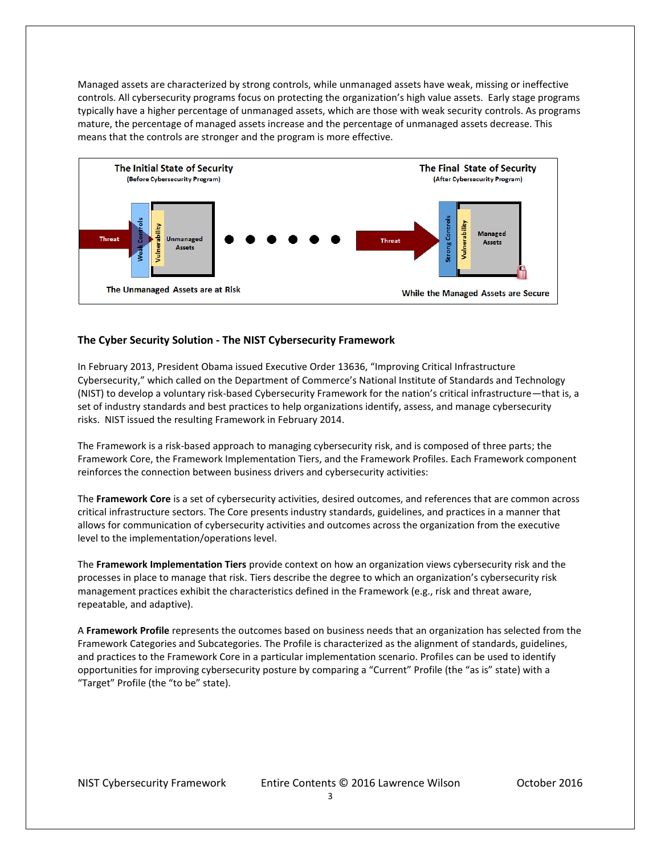Managed assets are characterized by strong controls, while unmanaged assets have weak, missing or ineffective controls. All cybersecurity programs focus on protecting the organization's high value assets. Early stage programs typically have a higher percentage of unmanaged assets, which are those with weak security controls. As programs mature, the percentage of managed assets increase and the percentage of unmanaged assets decrease. This means that the controls are stronger and the program is more effective.



## **The Cyber Security Solution - The NIST Cybersecurity Framework**

In February 2013, President Obama issued Executive Order 13636, "Improving Critical Infrastructure Cybersecurity," which called on the Department of Commerce's National Institute of Standards and Technology (NIST) to develop a voluntary risk-based Cybersecurity Framework for the nation's critical infrastructure—that is, a set of industry standards and best practices to help organizations identify, assess, and manage cybersecurity risks. NIST issued the resulting Framework in February 2014.

The Framework is a risk-based approach to managing cybersecurity risk, and is composed of three parts; the Framework Core, the Framework Implementation Tiers, and the Framework Profiles. Each Framework component reinforces the connection between business drivers and cybersecurity activities:

The **Framework Core** is a set of cybersecurity activities, desired outcomes, and references that are common across critical infrastructure sectors. The Core presents industry standards, guidelines, and practices in a manner that allows for communication of cybersecurity activities and outcomes across the organization from the executive level to the implementation/operations level.

The **Framework Implementation Tiers** provide context on how an organization views cybersecurity risk and the processes in place to manage that risk. Tiers describe the degree to which an organization's cybersecurity risk management practices exhibit the characteristics defined in the Framework (e.g., risk and threat aware, repeatable, and adaptive).

A **Framework Profile** represents the outcomes based on business needs that an organization has selected from the Framework Categories and Subcategories. The Profile is characterized as the alignment of standards, guidelines, and practices to the Framework Core in a particular implementation scenario. Profiles can be used to identify opportunities for improving cybersecurity posture by comparing a "Current" Profile (the "as is" state) with a "Target" Profile (the "to be" state).

NIST Cybersecurity Framework Entire Contents © 2016 Lawrence Wilson October 2016

3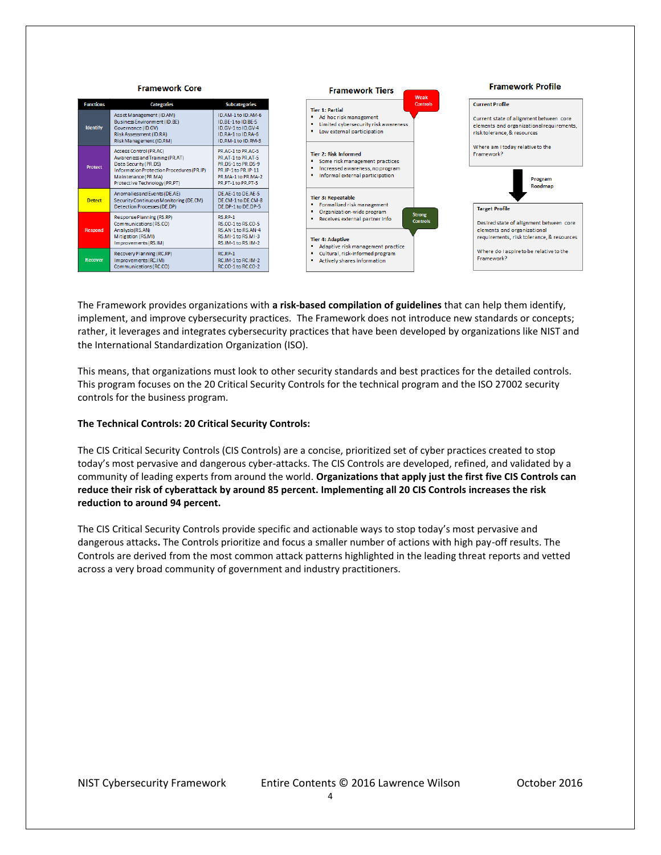

The Framework provides organizations with **a risk-based compilation of guidelines** that can help them identify, implement, and improve cybersecurity practices. The Framework does not introduce new standards or concepts; rather, it leverages and integrates cybersecurity practices that have been developed by organizations like NIST and the International Standardization Organization (ISO).

This means, that organizations must look to other security standards and best practices for the detailed controls. This program focuses on the 20 Critical Security Controls for the technical program and the ISO 27002 security controls for the business program.

#### **The Technical Controls: 20 Critical Security Controls:**

The CIS Critical Security Controls (CIS Controls) are a concise, prioritized set of cyber practices created to stop today's most pervasive and dangerous cyber-attacks. The CIS Controls are developed, refined, and validated by a community of leading experts from around the world. **Organizations that apply just the first five CIS Controls can reduce their risk of cyberattack by around 85 percent. Implementing all 20 CIS Controls increases the risk reduction to around 94 percent.**

The CIS Critical Security Controls provide specific and actionable ways to stop today's most pervasive and dangerous attacks**.** The Controls prioritize and focus a smaller number of actions with high pay-off results. The Controls are derived from the most common attack patterns highlighted in the leading threat reports and vetted across a very broad community of government and industry practitioners.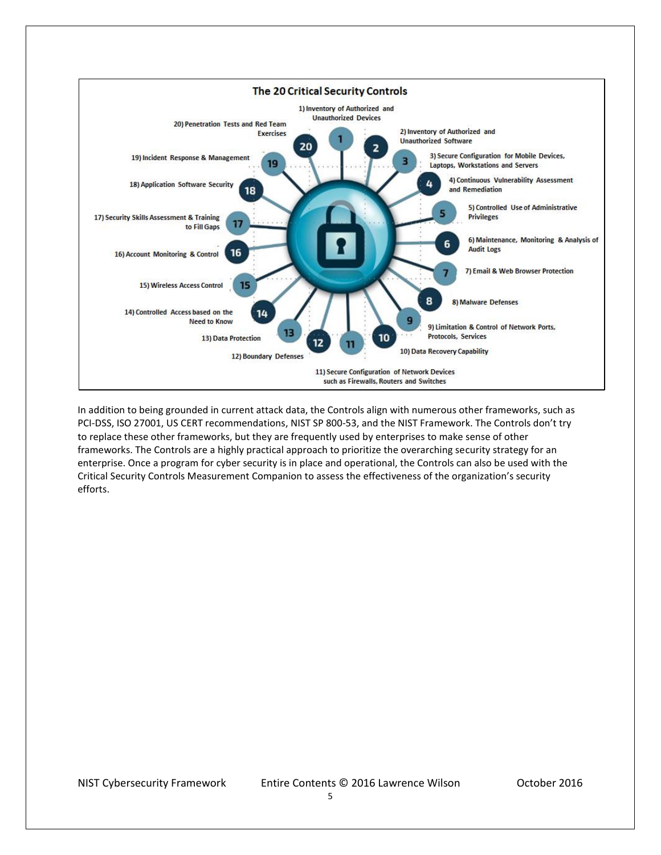

In addition to being grounded in current attack data, the Controls align with numerous other frameworks, such as PCI-DSS, ISO 27001, US CERT recommendations, NIST SP 800-53, and the NIST Framework. The Controls don't try to replace these other frameworks, but they are frequently used by enterprises to make sense of other frameworks. The Controls are a highly practical approach to prioritize the overarching security strategy for an enterprise. Once a program for cyber security is in place and operational, the Controls can also be used with the Critical Security Controls Measurement Companion to assess the effectiveness of the organization's security efforts.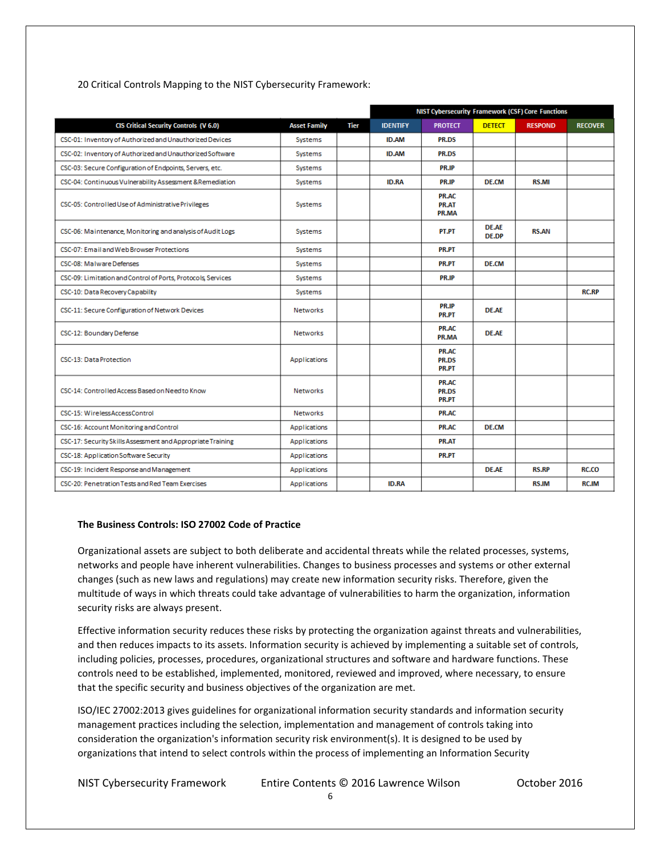| 20 Critical Controls Mapping to the NIST Cybersecurity Framework: |  |
|-------------------------------------------------------------------|--|
|-------------------------------------------------------------------|--|

|                                                              |                     |      | NIST Cybersecurity Framework (CSF) Core Functions |                                       |                              |                |                |
|--------------------------------------------------------------|---------------------|------|---------------------------------------------------|---------------------------------------|------------------------------|----------------|----------------|
| CIS Critical Security Controls (V 6.0)                       | <b>Asset Family</b> | Tier | <b>IDENTIFY</b>                                   | <b>PROTECT</b>                        | <b>DETECT</b>                | <b>RESPOND</b> | <b>RECOVER</b> |
| CSC-01: Inventory of Authorized and Unauthorized Devices     | Systems             |      | <b>ID.AM</b>                                      | <b>PR.DS</b>                          |                              |                |                |
| CSC-02: Inventory of Authorized and Unauthorized Software    | Systems             |      | <b>ID.AM</b>                                      | PR.DS                                 |                              |                |                |
| CSC-03: Secure Configuration of Endpoints, Servers, etc.     | Systems             |      |                                                   | <b>PR.IP</b>                          |                              |                |                |
| CSC-04: Continuous Vulnerability Assessment & Remediation    | Systems             |      | <b>ID.RA</b>                                      | PR.IP                                 | <b>DE.CM</b>                 | <b>RS.MI</b>   |                |
| CSC-05: Controlled Use of Administrative Privileges          | Systems             |      |                                                   | PR.AC<br>PR.AT<br>PR.MA               |                              |                |                |
| CSC-06: Maintenance, Monitoring and analysis of Audit Logs   | Systems             |      |                                                   | PT.PT                                 | <b>DE.AE</b><br><b>DE.DP</b> | <b>RS.AN</b>   |                |
| CSC-07: Email and Web Browser Protections                    | Systems             |      |                                                   | PR.PT                                 |                              |                |                |
| CSC-08: Malware Defenses                                     | Systems             |      |                                                   | PR.PT                                 | <b>DE.CM</b>                 |                |                |
| CSC-09: Limitation and Control of Ports, Protocols, Services | Systems             |      |                                                   | <b>PR.IP</b>                          |                              |                |                |
| CSC-10: Data Recovery Capability                             | Systems             |      |                                                   |                                       |                              |                | <b>RC.RP</b>   |
| CSC-11: Secure Configuration of Network Devices              | <b>Networks</b>     |      |                                                   | PR.IP<br><b>PR.PT</b>                 | <b>DE.AE</b>                 |                |                |
| CSC-12: Boundary Defense                                     | <b>Networks</b>     |      |                                                   | PR.AC<br>PR.MA                        | <b>DE.AE</b>                 |                |                |
| CSC-13: Data Protection                                      | Applications        |      |                                                   | PR.AC<br><b>PR.DS</b><br><b>PR.PT</b> |                              |                |                |
| CSC-14: Controlled Access Based on Need to Know              | <b>Networks</b>     |      |                                                   | <b>PR.AC</b><br>PR.DS<br>PR.PT        |                              |                |                |
| CSC-15: WirelessAccessControl                                | <b>Networks</b>     |      |                                                   | PR.AC                                 |                              |                |                |
| CSC-16: Account Monitoring and Control                       | Applications        |      |                                                   | PR.AC                                 | <b>DE.CM</b>                 |                |                |
| CSC-17: Security Skills Assessment and Appropriate Training  | <b>Applications</b> |      |                                                   | PR.AT                                 |                              |                |                |
| CSC-18: Application Software Security                        | Applications        |      |                                                   | PR.PT                                 |                              |                |                |
| CSC-19: Incident Response and Management                     | Applications        |      |                                                   |                                       | <b>DE.AE</b>                 | <b>RS.RP</b>   | RC.CO          |
| CSC-20: Penetration Tests and Red Team Exercises             | Applications        |      | <b>ID.RA</b>                                      |                                       |                              | <b>RS.IM</b>   | <b>RC.IM</b>   |

## **The Business Controls: ISO 27002 Code of Practice**

Organizational assets are subject to both deliberate and accidental threats while the related processes, systems, networks and people have inherent vulnerabilities. Changes to business processes and systems or other external changes (such as new laws and regulations) may create new information security risks. Therefore, given the multitude of ways in which threats could take advantage of vulnerabilities to harm the organization, information security risks are always present.

Effective information security reduces these risks by protecting the organization against threats and vulnerabilities, and then reduces impacts to its assets. Information security is achieved by implementing a suitable set of controls, including policies, processes, procedures, organizational structures and software and hardware functions. These controls need to be established, implemented, monitored, reviewed and improved, where necessary, to ensure that the specific security and business objectives of the organization are met.

ISO/IEC 27002:2013 gives guidelines for organizational information security standards and information security management practices including the selection, implementation and management of controls taking into consideration the organization's information security risk environment(s). It is designed to be used by organizations that intend to select controls within the process of implementing an Information Security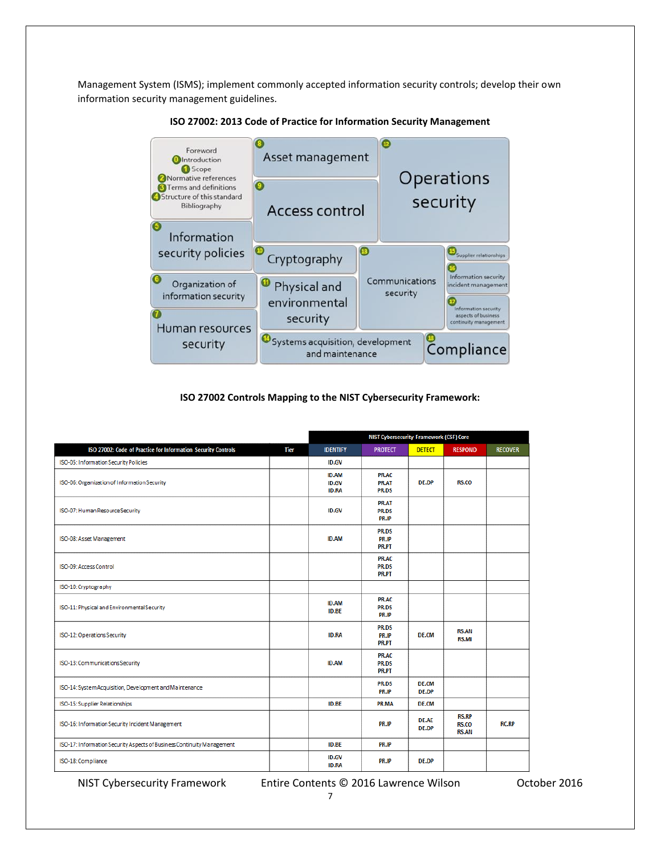Management System (ISMS); implement commonly accepted information security controls; develop their own information security management guidelines.



**ISO 27002: 2013 Code of Practice for Information Security Management**

#### **ISO 27002 Controls Mapping to the NIST Cybersecurity Framework:**

|                                                                        |             |                                              | <b>NIST Cybersecurity Framework (CSF) Core</b> |                              |                                       |                |  |  |
|------------------------------------------------------------------------|-------------|----------------------------------------------|------------------------------------------------|------------------------------|---------------------------------------|----------------|--|--|
| ISO 27002: Code of Practice for Information Security Controls          | <b>Tier</b> | <b>IDENTIFY</b>                              | <b>PROTECT</b>                                 | <b>DETECT</b>                | <b>RESPOND</b>                        | <b>RECOVER</b> |  |  |
| ISO-05: Information Security Policies                                  |             | <b>ID.GV</b>                                 |                                                |                              |                                       |                |  |  |
| ISO-06: Organization of Information Security                           |             | <b>ID.AM</b><br><b>ID.GV</b><br><b>ID.RA</b> | PR.AC<br>PR.AT<br>PR.DS                        | <b>DE.DP</b>                 | RS.CO                                 |                |  |  |
| ISO-07: Human Resource Security                                        |             | <b>ID.GV</b>                                 | PR.AT<br>PR.DS<br><b>PR.IP</b>                 |                              |                                       |                |  |  |
| ISO-08: Asset Management                                               |             | <b>ID.AM</b>                                 | PR.DS<br><b>PR.IP</b><br><b>PR.PT</b>          |                              |                                       |                |  |  |
| ISO-09: Access Control                                                 |             |                                              | <b>PR.AC</b><br>PR.DS<br><b>PR.PT</b>          |                              |                                       |                |  |  |
| ISO-10: Cryptography                                                   |             |                                              |                                                |                              |                                       |                |  |  |
| ISO-11: Physical and Environmental Security                            |             | <b>ID.AM</b><br><b>ID.BE</b>                 | PR.AC<br>PR.DS<br>PR.IP                        |                              |                                       |                |  |  |
| ISO-12: Operations Security                                            |             | <b>ID.RA</b>                                 | PR.DS<br>PR.IP<br>PR.PT                        | <b>DE.CM</b>                 | <b>RS.AN</b><br><b>RS.MI</b>          |                |  |  |
| ISO-13: Communications Security                                        |             | <b>ID.AM</b>                                 | <b>PR.AC</b><br>PR.DS<br><b>PR.PT</b>          |                              |                                       |                |  |  |
| ISO-14: System Acquisition, Development and Maintenance                |             |                                              | PR.DS<br><b>PR.IP</b>                          | <b>DE.CM</b><br><b>DE.DP</b> |                                       |                |  |  |
| ISO-15: Supplier Relationships                                         |             | <b>ID.BE</b>                                 | PR.MA                                          | <b>DE.CM</b>                 |                                       |                |  |  |
| ISO-16: Information Security Incident Management                       |             |                                              | PR.IP                                          | <b>DE.AE</b><br><b>DE.DP</b> | <b>RS.RP</b><br>RS.CO<br><b>RS.AN</b> | <b>RC.RP</b>   |  |  |
| ISO-17: Information Security Aspects of Business Continuity Management |             | <b>ID.BE</b>                                 | PR.IP                                          |                              |                                       |                |  |  |
| ISO-18: Compliance                                                     |             | <b>ID.GV</b><br><b>ID.RA</b>                 | <b>PR.IP</b>                                   | <b>DE.DP</b>                 |                                       |                |  |  |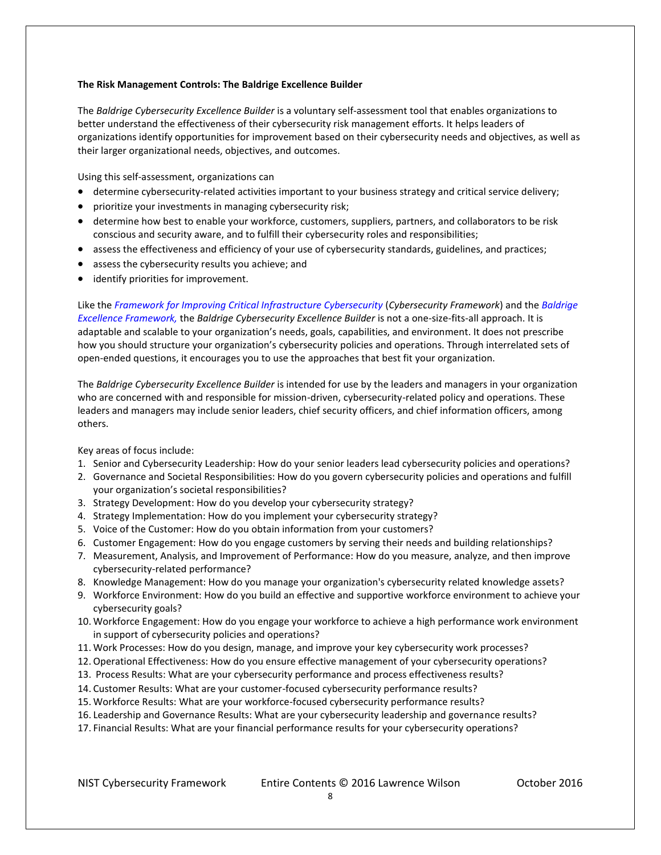#### **The Risk Management Controls: The Baldrige Excellence Builder**

The *Baldrige Cybersecurity Excellence Builder* is a voluntary self-assessment tool that enables organizations to better understand the effectiveness of their cybersecurity risk management efforts. It helps leaders of organizations identify opportunities for improvement based on their cybersecurity needs and objectives, as well as their larger organizational needs, objectives, and outcomes.

Using this self-assessment, organizations can

- determine cybersecurity-related activities important to your business strategy and critical service delivery;
- prioritize your investments in managing cybersecurity risk;
- determine how best to enable your workforce, customers, suppliers, partners, and collaborators to be risk conscious and security aware, and to fulfill their cybersecurity roles and responsibilities;
- assess the effectiveness and efficiency of your use of cybersecurity standards, guidelines, and practices;
- assess the cybersecurity results you achieve; and
- identify priorities for improvement.

Like the *Framework for Improving Critical Infrastructure Cybersecurity* (*Cybersecurity Framework*) and the *Baldrige Excellence Framework,* the *Baldrige Cybersecurity Excellence Builder* is not a one-size-fits-all approach. It is adaptable and scalable to your organization's needs, goals, capabilities, and environment. It does not prescribe how you should structure your organization's cybersecurity policies and operations. Through interrelated sets of open-ended questions, it encourages you to use the approaches that best fit your organization.

The *Baldrige Cybersecurity Excellence Builder* is intended for use by the leaders and managers in your organization who are concerned with and responsible for mission-driven, cybersecurity-related policy and operations. These leaders and managers may include senior leaders, chief security officers, and chief information officers, among others.

Key areas of focus include:

- 1. Senior and Cybersecurity Leadership: How do your senior leaders lead cybersecurity policies and operations?
- 2. Governance and Societal Responsibilities: How do you govern cybersecurity policies and operations and fulfill your organization's societal responsibilities?
- 3. Strategy Development: How do you develop your cybersecurity strategy?
- 4. Strategy Implementation: How do you implement your cybersecurity strategy?
- 5. Voice of the Customer: How do you obtain information from your customers?
- 6. Customer Engagement: How do you engage customers by serving their needs and building relationships?
- 7. Measurement, Analysis, and Improvement of Performance: How do you measure, analyze, and then improve cybersecurity-related performance?
- 8. Knowledge Management: How do you manage your organization's cybersecurity related knowledge assets?
- 9. Workforce Environment: How do you build an effective and supportive workforce environment to achieve your cybersecurity goals?
- 10. Workforce Engagement: How do you engage your workforce to achieve a high performance work environment in support of cybersecurity policies and operations?
- 11. Work Processes: How do you design, manage, and improve your key cybersecurity work processes?
- 12. Operational Effectiveness: How do you ensure effective management of your cybersecurity operations?
- 13. Process Results: What are your cybersecurity performance and process effectiveness results?
- 14. Customer Results: What are your customer-focused cybersecurity performance results?
- 15. Workforce Results: What are your workforce-focused cybersecurity performance results?
- 16. Leadership and Governance Results: What are your cybersecurity leadership and governance results?
- 17. Financial Results: What are your financial performance results for your cybersecurity operations?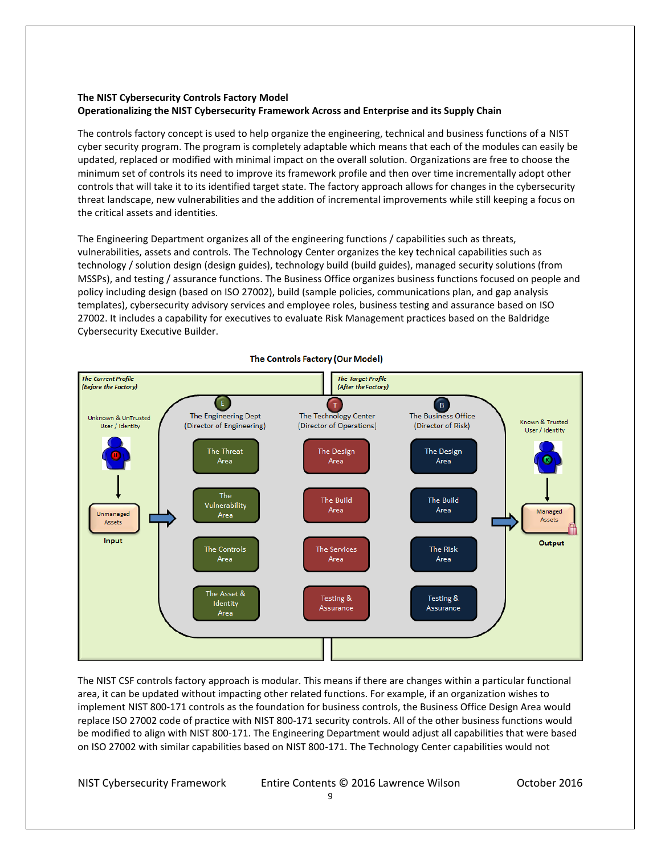## **The NIST Cybersecurity Controls Factory Model Operationalizing the NIST Cybersecurity Framework Across and Enterprise and its Supply Chain**

The controls factory concept is used to help organize the engineering, technical and business functions of a NIST cyber security program. The program is completely adaptable which means that each of the modules can easily be updated, replaced or modified with minimal impact on the overall solution. Organizations are free to choose the minimum set of controls its need to improve its framework profile and then over time incrementally adopt other controls that will take it to its identified target state. The factory approach allows for changes in the cybersecurity threat landscape, new vulnerabilities and the addition of incremental improvements while still keeping a focus on the critical assets and identities.

The Engineering Department organizes all of the engineering functions / capabilities such as threats, vulnerabilities, assets and controls. The Technology Center organizes the key technical capabilities such as technology / solution design (design guides), technology build (build guides), managed security solutions (from MSSPs), and testing / assurance functions. The Business Office organizes business functions focused on people and policy including design (based on ISO 27002), build (sample policies, communications plan, and gap analysis templates), cybersecurity advisory services and employee roles, business testing and assurance based on ISO 27002. It includes a capability for executives to evaluate Risk Management practices based on the Baldridge Cybersecurity Executive Builder.



The NIST CSF controls factory approach is modular. This means if there are changes within a particular functional area, it can be updated without impacting other related functions. For example, if an organization wishes to implement NIST 800-171 controls as the foundation for business controls, the Business Office Design Area would replace ISO 27002 code of practice with NIST 800-171 security controls. All of the other business functions would be modified to align with NIST 800-171. The Engineering Department would adjust all capabilities that were based on ISO 27002 with similar capabilities based on NIST 800-171. The Technology Center capabilities would not

NIST Cybersecurity Framework Entire Contents © 2016 Lawrence Wilson October 2016

#### The Controls Factory (Our Model)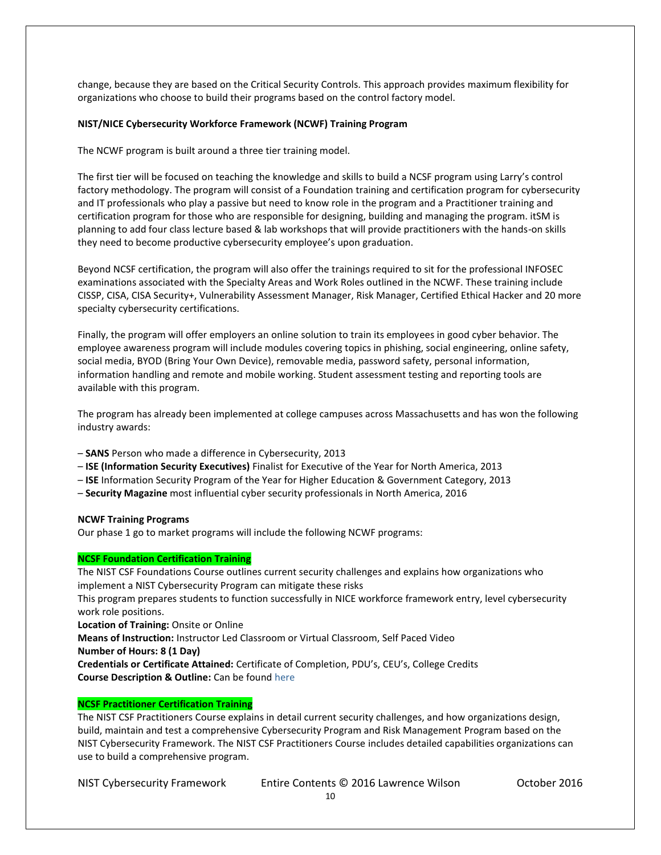change, because they are based on the Critical Security Controls. This approach provides maximum flexibility for organizations who choose to build their programs based on the control factory model.

#### **NIST/NICE Cybersecurity Workforce Framework (NCWF) Training Program**

The NCWF program is built around a three tier training model.

The first tier will be focused on teaching the knowledge and skills to build a NCSF program using Larry's control factory methodology. The program will consist of a Foundation training and certification program for cybersecurity and IT professionals who play a passive but need to know role in the program and a Practitioner training and certification program for those who are responsible for designing, building and managing the program. itSM is planning to add four class lecture based & lab workshops that will provide practitioners with the hands-on skills they need to become productive cybersecurity employee's upon graduation.

Beyond NCSF certification, the program will also offer the trainings required to sit for the professional INFOSEC examinations associated with the Specialty Areas and Work Roles outlined in the NCWF. These training include CISSP, CISA, CISA Security+, Vulnerability Assessment Manager, Risk Manager, Certified Ethical Hacker and 20 more specialty cybersecurity certifications.

Finally, the program will offer employers an online solution to train its employees in good cyber behavior. The employee awareness program will include modules covering topics in phishing, social engineering, online safety, social media, BYOD (Bring Your Own Device), removable media, password safety, personal information, information handling and remote and mobile working. Student assessment testing and reporting tools are available with this program.

The program has already been implemented at college campuses across Massachusetts and has won the following industry awards:

- **SANS** Person who made a difference in Cybersecurity, 2013
- **ISE (Information Security Executives)** Finalist for Executive of the Year for North America, 2013
- **ISE** Information Security Program of the Year for Higher Education & Government Category, 2013
- **Security Magazine** most influential cyber security professionals in North America, 2016

#### **NCWF Training Programs**

Our phase 1 go to market programs will include the following NCWF programs:

#### **NCSF Foundation Certification Training**

The NIST CSF Foundations Course outlines current security challenges and explains how organizations who implement a NIST Cybersecurity Program can mitigate these risks

This program prepares students to function successfully in NICE workforce framework entry, level cybersecurity work role positions.

**Location of Training:** Onsite or Online

**Means of Instruction:** Instructor Led Classroom or Virtual Classroom, Self Paced Video

**Number of Hours: 8 (1 Day)**

**Credentials or Certificate Attained:** Certificate of Completion, PDU's, CEU's, College Credits **Course Description & Outline:** Can be foun[d here](http://nistcsf.com/wp-content/uploads/2016/11/NIST-CSF-Foundation-Course-Outline-rev3.pdf)

## **NCSF Practitioner Certification Training**

The NIST CSF Practitioners Course explains in detail current security challenges, and how organizations design, build, maintain and test a comprehensive Cybersecurity Program and Risk Management Program based on the NIST Cybersecurity Framework. The NIST CSF Practitioners Course includes detailed capabilities organizations can use to build a comprehensive program.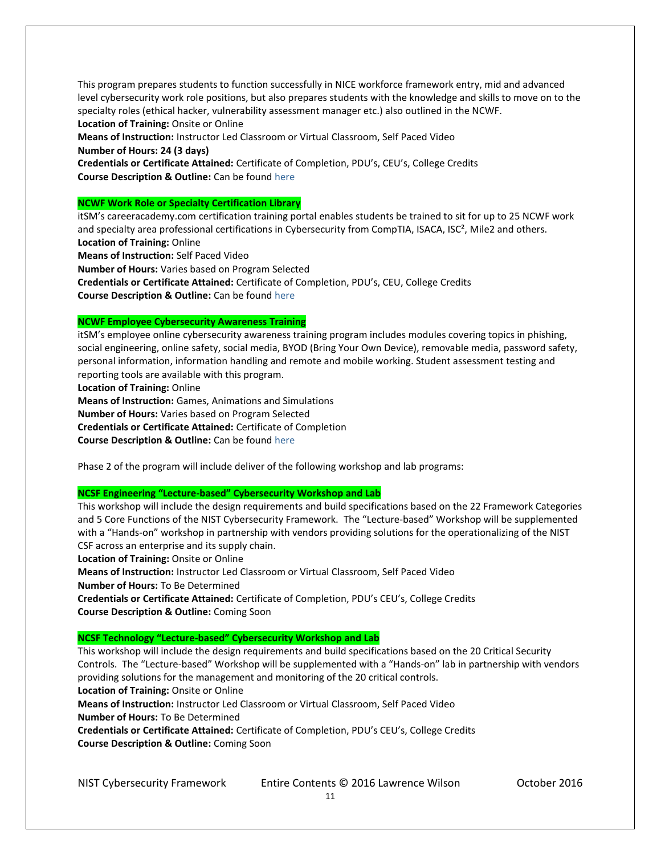This program prepares students to function successfully in NICE workforce framework entry, mid and advanced level cybersecurity work role positions, but also prepares students with the knowledge and skills to move on to the specialty roles (ethical hacker, vulnerability assessment manager etc.) also outlined in the NCWF. **Location of Training:** Onsite or Online

**Means of Instruction:** Instructor Led Classroom or Virtual Classroom, Self Paced Video **Number of Hours: 24 (3 days) Credentials or Certificate Attained:** Certificate of Completion, PDU's, CEU's, College Credits

**Course Description & Outline:** Can be foun[d here](http://nistcsf.com/wp-content/uploads/2016/11/NIST-CSF-Practitioner-Course-Outline-rev3.pdf)

## **NCWF Work Role or Specialty Certification Library**

itSM's careeracademy.com certification training portal enables students be trained to sit for up to 25 NCWF work and specialty area professional certifications in Cybersecurity from CompTIA, ISACA, ISC<sup>2</sup>, Mile2 and others. **Location of Training:** Online

**Means of Instruction:** Self Paced Video

**Number of Hours:** Varies based on Program Selected

**Credentials or Certificate Attained:** Certificate of Completion, PDU's, CEU, College Credits **Course Description & Outline:** Can be foun[d here](http://nistcsf.com/wp-content/uploads/2016/12/CS_data_sheet-003.pdf)

## **NCWF Employee Cybersecurity Awareness Training**

itSM's employee online cybersecurity awareness training program includes modules covering topics in phishing, social engineering, online safety, social media, BYOD (Bring Your Own Device), removable media, password safety, personal information, information handling and remote and mobile working. Student assessment testing and reporting tools are available with this program.

**Location of Training:** Online

**Means of Instruction:** Games, Animations and Simulations **Number of Hours:** Varies based on Program Selected **Credentials or Certificate Attained:** Certificate of Completion

**Course Description & Outline:** Can be foun[d here](http://nistcsf.com/wp-content/uploads/2016/11/RESILIAcyber-awareness-1.pdf)

Phase 2 of the program will include deliver of the following workshop and lab programs:

## **NCSF Engineering "Lecture-based" Cybersecurity Workshop and Lab**

This workshop will include the design requirements and build specifications based on the 22 Framework Categories and 5 Core Functions of the NIST Cybersecurity Framework. The "Lecture-based" Workshop will be supplemented with a "Hands-on" workshop in partnership with vendors providing solutions for the operationalizing of the NIST CSF across an enterprise and its supply chain.

**Location of Training:** Onsite or Online

**Means of Instruction:** Instructor Led Classroom or Virtual Classroom, Self Paced Video **Number of Hours:** To Be Determined

**Credentials or Certificate Attained:** Certificate of Completion, PDU's CEU's, College Credits **Course Description & Outline:** Coming Soon

## **NCSF Technology "Lecture-based" Cybersecurity Workshop and Lab**

This workshop will include the design requirements and build specifications based on the 20 Critical Security Controls. The "Lecture-based" Workshop will be supplemented with a "Hands-on" lab in partnership with vendors providing solutions for the management and monitoring of the 20 critical controls. **Location of Training:** Onsite or Online

**Means of Instruction:** Instructor Led Classroom or Virtual Classroom, Self Paced Video **Number of Hours:** To Be Determined

**Credentials or Certificate Attained:** Certificate of Completion, PDU's CEU's, College Credits **Course Description & Outline:** Coming Soon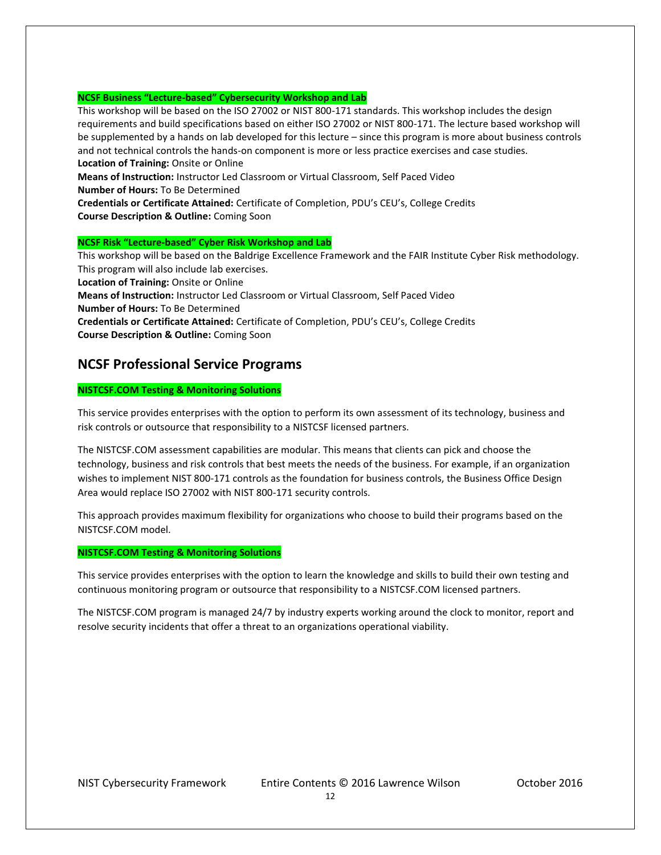#### **NCSF Business "Lecture-based" Cybersecurity Workshop and Lab**

This workshop will be based on the ISO 27002 or NIST 800-171 standards. This workshop includes the design requirements and build specifications based on either ISO 27002 or NIST 800-171. The lecture based workshop will be supplemented by a hands on lab developed for this lecture – since this program is more about business controls and not technical controls the hands-on component is more or less practice exercises and case studies. **Location of Training:** Onsite or Online

**Means of Instruction:** Instructor Led Classroom or Virtual Classroom, Self Paced Video

**Number of Hours:** To Be Determined

**Credentials or Certificate Attained:** Certificate of Completion, PDU's CEU's, College Credits **Course Description & Outline:** Coming Soon

#### **NCSF Risk "Lecture-based" Cyber Risk Workshop and Lab**

This workshop will be based on the Baldrige Excellence Framework and the FAIR Institute Cyber Risk methodology. This program will also include lab exercises. **Location of Training:** Onsite or Online **Means of Instruction:** Instructor Led Classroom or Virtual Classroom, Self Paced Video **Number of Hours:** To Be Determined **Credentials or Certificate Attained:** Certificate of Completion, PDU's CEU's, College Credits **Course Description & Outline:** Coming Soon

# **NCSF Professional Service Programs**

## **NISTCSF.COM Testing & Monitoring Solutions**

This service provides enterprises with the option to perform its own assessment of its technology, business and risk controls or outsource that responsibility to a NISTCSF licensed partners.

The NISTCSF.COM assessment capabilities are modular. This means that clients can pick and choose the technology, business and risk controls that best meets the needs of the business. For example, if an organization wishes to implement NIST 800-171 controls as the foundation for business controls, the Business Office Design Area would replace ISO 27002 with NIST 800-171 security controls.

This approach provides maximum flexibility for organizations who choose to build their programs based on the NISTCSF.COM model.

#### **NISTCSF.COM Testing & Monitoring Solutions**

This service provides enterprises with the option to learn the knowledge and skills to build their own testing and continuous monitoring program or outsource that responsibility to a NISTCSF.COM licensed partners.

The NISTCSF.COM program is managed 24/7 by industry experts working around the clock to monitor, report and resolve security incidents that offer a threat to an organizations operational viability.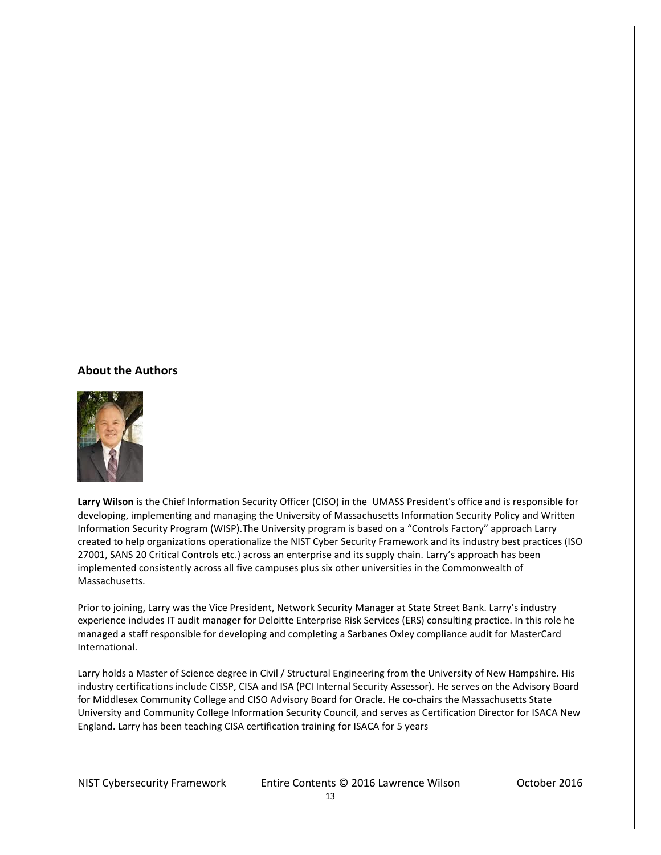## **About the Authors**



**Larry Wilson** is the Chief Information Security Officer (CISO) in the UMASS President's office and is responsible for developing, implementing and managing the University of Massachusetts Information Security Policy and Written Information Security Program (WISP).The University program is based on a "Controls Factory" approach Larry created to help organizations operationalize the NIST Cyber Security Framework and its industry best practices (ISO 27001, SANS 20 Critical Controls etc.) across an enterprise and its supply chain. Larry's approach has been implemented consistently across all five campuses plus six other universities in the Commonwealth of Massachusetts.

Prior to joining, Larry was the Vice President, Network Security Manager at State Street Bank. Larry's industry experience includes IT audit manager for Deloitte Enterprise Risk Services (ERS) consulting practice. In this role he managed a staff responsible for developing and completing a Sarbanes Oxley compliance audit for MasterCard International.

Larry holds a Master of Science degree in Civil / Structural Engineering from the University of New Hampshire. His industry certifications include CISSP, CISA and ISA (PCI Internal Security Assessor). He serves on the Advisory Board for Middlesex Community College and CISO Advisory Board for Oracle. He co-chairs the Massachusetts State University and Community College Information Security Council, and serves as Certification Director for ISACA New England. Larry has been teaching CISA certification training for ISACA for 5 years